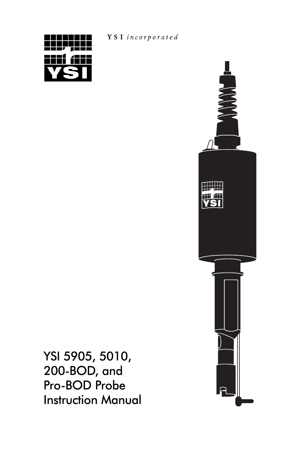

Y S I incorporated



YSI 5905, 5010, 200-BOD, and Pro-BOD Probe Instruction Manual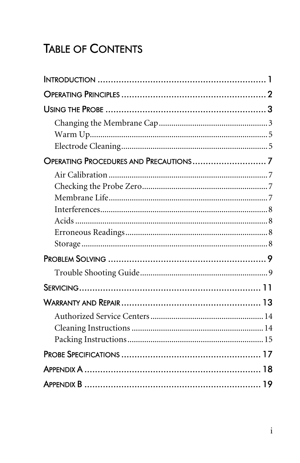# **TABLE OF CONTENTS**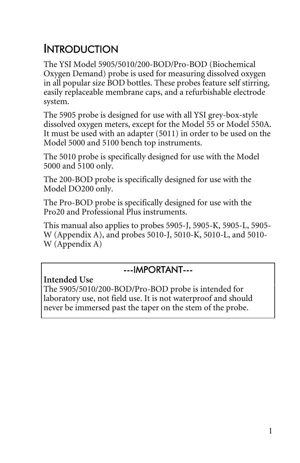# <span id="page-2-0"></span>**INTRODUCTION**

The YSI Model 5905/5010/200-BOD/Pro-BOD (Biochemical Oxygen Demand) probe is used for measuring dissolved oxygen in all popular size BOD bottles. These probes feature self stirring, easily replaceable membrane caps, and a refurbishable electrode system.

The 5905 probe is designed for use with all YSI grey-box-style dissolved oxygen meters, except for the Model 55 or Model 550A. It must be used with an adapter (5011) in order to be used on the Model 5000 and 5100 bench top instruments.

The 5010 probe is specifically designed for use with the Model 5000 and 5100 only.

The 200-BOD probe is specifically designed for use with the Model DO200 only.

The Pro-BOD probe is specifically designed for use with the Pro20 and Professional Plus instruments.

This manual also applies to probes 5905-J, 5905-K, 5905-L, 5905- W (Appendix A), and probes 5010-J, 5010-K, 5010-L, and 5010- W (Appendix A)

#### ---IMPORTANT---

**Intended Use** The 5905/5010/200-BOD/Pro-BOD probe is intended for laboratory use, not field use. It is not waterproof and should never be immersed past the taper on the stem of the probe.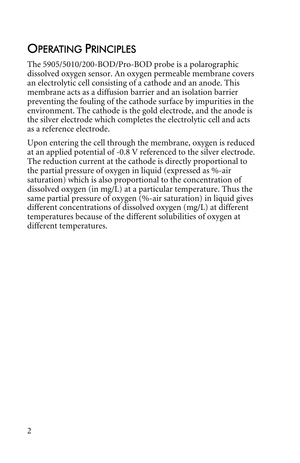# <span id="page-3-0"></span>OPERATING PRINCIPLES

The 5905/5010/200-BOD/Pro-BOD probe is a polarographic dissolved oxygen sensor. An oxygen permeable membrane covers an electrolytic cell consisting of a cathode and an anode. This membrane acts as a diffusion barrier and an isolation barrier preventing the fouling of the cathode surface by impurities in the environment. The cathode is the gold electrode, and the anode is the silver electrode which completes the electrolytic cell and acts as a reference electrode.

Upon entering the cell through the membrane, oxygen is reduced at an applied potential of -0.8 V referenced to the silver electrode. The reduction current at the cathode is directly proportional to the partial pressure of oxygen in liquid (expressed as %-air saturation) which is also proportional to the concentration of dissolved oxygen (in mg/L) at a particular temperature. Thus the same partial pressure of oxygen  $(\%$ -air saturation) in liquid gives different concentrations of dissolved oxygen (mg/L) at different temperatures because of the different solubilities of oxygen at different temperatures.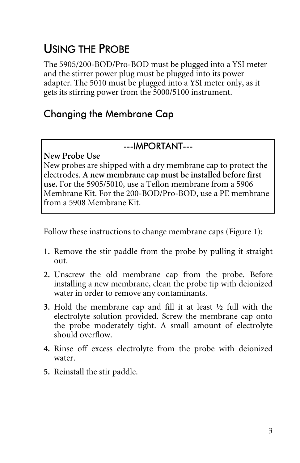# <span id="page-4-0"></span>USING THE PROBE

The 5905/200-BOD/Pro-BOD must be plugged into a YSI meter and the stirrer power plug must be plugged into its power adapter. The 5010 must be plugged into a YSI meter only, as it gets its stirring power from the 5000/5100 instrument.

### Changing the Membrane Cap

#### ---IMPORTANT---

**New Probe Use** 

New probes are shipped with a dry membrane cap to protect the electrodes. **A new membrane cap must be installed before first use.** For the 5905/5010, use a Teflon membrane from a 5906 Membrane Kit. For the 200-BOD/Pro-BOD, use a PE membrane from a 5908 Membrane Kit.

Follow these instructions to change membrane caps (Figure 1):

- **1.** Remove the stir paddle from the probe by pulling it straight out.
- **2.** Unscrew the old membrane cap from the probe. Before installing a new membrane, clean the probe tip with deionized water in order to remove any contaminants.
- **3.** Hold the membrane cap and fill it at least ½ full with the electrolyte solution provided. Screw the membrane cap onto the probe moderately tight. A small amount of electrolyte should overflow.
- **4.** Rinse off excess electrolyte from the probe with deionized water.
- **5.** Reinstall the stir paddle.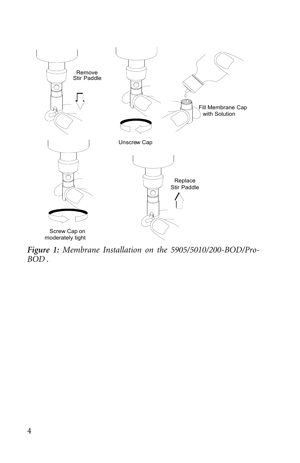

*Figure 1: Membrane Installation on the 5905/5010/200-BOD/Pro-BOD .*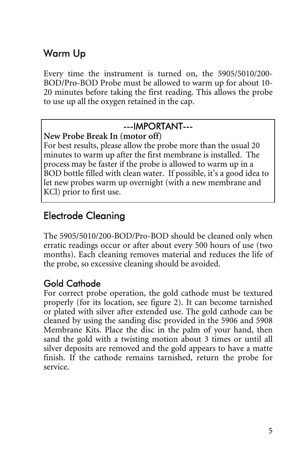## <span id="page-6-0"></span>Warm Up

Every time the instrument is turned on, the 5905/5010/200- BOD/Pro-BOD Probe must be allowed to warm up for about 10- 20 minutes before taking the first reading. This allows the probe to use up all the oxygen retained in the cap.

#### ---IMPORTANT---

#### **New Probe Break In (motor off)**

For best results, please allow the probe more than the usual 20 minutes to warm up after the first membrane is installed. The process may be faster if the probe is allowed to warm up in a BOD bottle filled with clean water. If possible, it's a good idea to let new probes warm up overnight (with a new membrane and KCl) prior to first use.

## Electrode Cleaning

The 5905/5010/200-BOD/Pro-BOD should be cleaned only when erratic readings occur or after about every 500 hours of use (two months). Each cleaning removes material and reduces the life of the probe, so excessive cleaning should be avoided.

### Gold Cathode

For correct probe operation, the gold cathode must be textured properly (for its location, see figure 2). It can become tarnished or plated with silver after extended use. The gold cathode can be cleaned by using the sanding disc provided in the 5906 and 5908 Membrane Kits. Place the disc in the palm of your hand, then sand the gold with a twisting motion about 3 times or until all silver deposits are removed and the gold appears to have a matte finish. If the cathode remains tarnished, return the probe for service.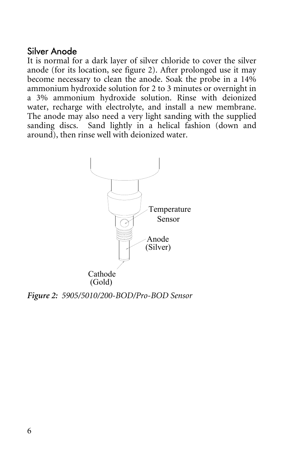#### Silver Anode

It is normal for a dark layer of silver chloride to cover the silver anode (for its location, see figure 2). After prolonged use it may become necessary to clean the anode. Soak the probe in a 14% ammonium hydroxide solution for 2 to 3 minutes or overnight in a 3% ammonium hydroxide solution. Rinse with deionized water, recharge with electrolyte, and install a new membrane. The anode may also need a very light sanding with the supplied sanding discs. Sand lightly in a helical fashion (down and around), then rinse well with deionized water.



*Figure 2: 5905/5010/200-BOD/Pro-BOD Sensor*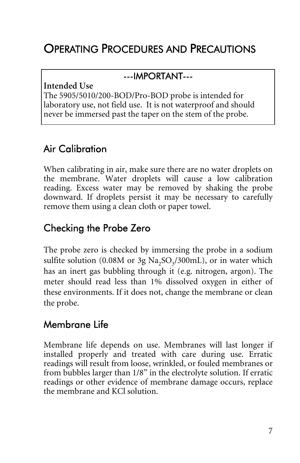# <span id="page-8-0"></span>OPERATING PROCEDURES AND PRECAUTIONS

#### ---IMPORTANT---

**Intended Use** 

The 5905/5010/200-BOD/Pro-BOD probe is intended for laboratory use, not field use. It is not waterproof and should never be immersed past the taper on the stem of the probe.

## Air Calibration

When calibrating in air, make sure there are no water droplets on the membrane. Water droplets will cause a low calibration reading. Excess water may be removed by shaking the probe downward. If droplets persist it may be necessary to carefully remove them using a clean cloth or paper towel.

## Checking the Probe Zero

The probe zero is checked by immersing the probe in a sodium sulfite solution (0.08M or 3g  $Na<sub>2</sub>SO<sub>3</sub>/300mL$ ), or in water which has an inert gas bubbling through it (e.g. nitrogen, argon). The meter should read less than 1% dissolved oxygen in either of these environments. If it does not, change the membrane or clean the probe.

## Membrane Life

Membrane life depends on use. Membranes will last longer if installed properly and treated with care during use. Erratic readings will result from loose, wrinkled, or fouled membranes or from bubbles larger than 1/8" in the electrolyte solution. If erratic readings or other evidence of membrane damage occurs, replace the membrane and KCl solution.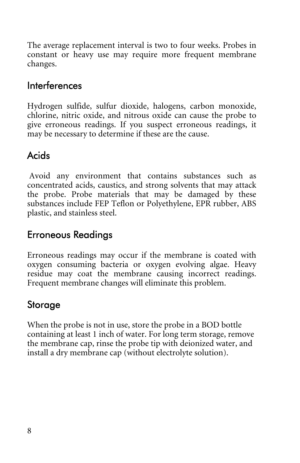<span id="page-9-0"></span>The average replacement interval is two to four weeks. Probes in constant or heavy use may require more frequent membrane changes.

#### Interferences

Hydrogen sulfide, sulfur dioxide, halogens, carbon monoxide, chlorine, nitric oxide, and nitrous oxide can cause the probe to give erroneous readings. If you suspect erroneous readings, it may be necessary to determine if these are the cause.

### Acids

 Avoid any environment that contains substances such as concentrated acids, caustics, and strong solvents that may attack the probe. Probe materials that may be damaged by these substances include FEP Teflon or Polyethylene, EPR rubber, ABS plastic, and stainless steel.

### Erroneous Readings

Erroneous readings may occur if the membrane is coated with oxygen consuming bacteria or oxygen evolving algae. Heavy residue may coat the membrane causing incorrect readings. Frequent membrane changes will eliminate this problem.

### Storage

When the probe is not in use, store the probe in a BOD bottle containing at least 1 inch of water. For long term storage, remove the membrane cap, rinse the probe tip with deionized water, and install a dry membrane cap (without electrolyte solution).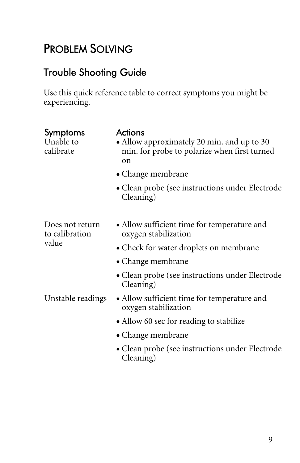# <span id="page-10-0"></span>PROBLEM SOLVING

## Trouble Shooting Guide

Use this quick reference table to correct symptoms you might be experiencing.

| Symptoms<br>Unable to<br>calibrate | <b>Actions</b><br>• Allow approximately 20 min. and up to 30<br>min. for probe to polarize when first turned<br>on |
|------------------------------------|--------------------------------------------------------------------------------------------------------------------|
|                                    | • Change membrane                                                                                                  |
|                                    | • Clean probe (see instructions under Electrode<br>Cleaning)                                                       |
|                                    |                                                                                                                    |
| Does not return<br>to calibration  | • Allow sufficient time for temperature and<br>oxygen stabilization                                                |
| value                              | • Check for water droplets on membrane                                                                             |
|                                    | • Change membrane                                                                                                  |
|                                    | • Clean probe (see instructions under Electrode<br>Cleaning)                                                       |
| Unstable readings                  | • Allow sufficient time for temperature and<br>oxygen stabilization                                                |
|                                    | • Allow 60 sec for reading to stabilize                                                                            |
|                                    | • Change membrane                                                                                                  |
|                                    | • Clean probe (see instructions under Electrode<br>Cleaning)                                                       |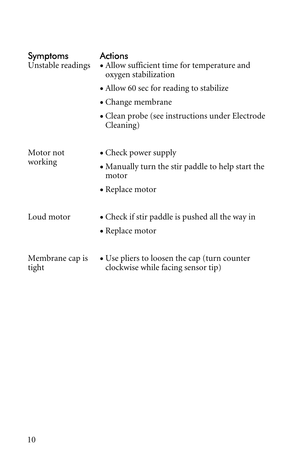| Symptoms<br>Unstable readings | Actions<br>• Allow sufficient time for temperature and<br>oxygen stabilization     |
|-------------------------------|------------------------------------------------------------------------------------|
|                               | • Allow 60 sec for reading to stabilize                                            |
|                               | • Change membrane                                                                  |
|                               | • Clean probe (see instructions under Electrode<br>Cleaning)                       |
| Motor not                     | • Check power supply                                                               |
| working                       | • Manually turn the stir paddle to help start the<br>motor                         |
|                               | • Replace motor                                                                    |
| Loud motor                    | • Check if stir paddle is pushed all the way in                                    |
|                               | • Replace motor                                                                    |
| Membrane cap is<br>tight      | • Use pliers to loosen the cap (turn counter<br>clockwise while facing sensor tip) |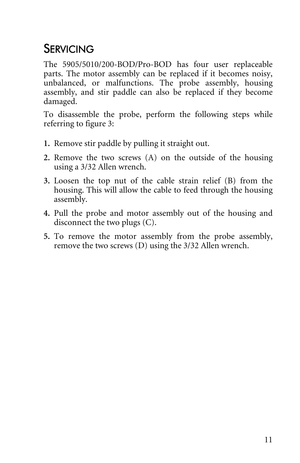# <span id="page-12-0"></span>**SERVICING**

The 5905/5010/200-BOD/Pro-BOD has four user replaceable parts. The motor assembly can be replaced if it becomes noisy, unbalanced, or malfunctions. The probe assembly, housing assembly, and stir paddle can also be replaced if they become damaged.

To disassemble the probe, perform the following steps while referring to figure 3:

- **1.** Remove stir paddle by pulling it straight out.
- **2.** Remove the two screws (A) on the outside of the housing using a 3/32 Allen wrench.
- **3.** Loosen the top nut of the cable strain relief (B) from the housing. This will allow the cable to feed through the housing assembly.
- **4.** Pull the probe and motor assembly out of the housing and disconnect the two plugs (C).
- **5.** To remove the motor assembly from the probe assembly, remove the two screws (D) using the 3/32 Allen wrench.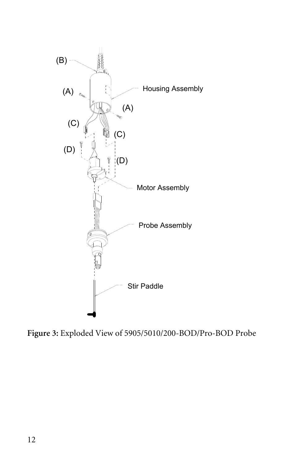

**Figure 3:** Exploded View of 5905/5010/200-BOD/Pro-BOD Probe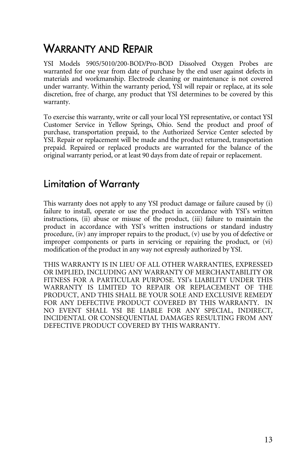# <span id="page-14-0"></span>WARRANTY AND REPAIR

YSI Models 5905/5010/200-BOD/Pro-BOD Dissolved Oxygen Probes are warranted for one year from date of purchase by the end user against defects in materials and workmanship. Electrode cleaning or maintenance is not covered under warranty. Within the warranty period, YSI will repair or replace, at its sole discretion, free of charge, any product that YSI determines to be covered by this warranty.

To exercise this warranty, write or call your local YSI representative, or contact YSI Customer Service in Yellow Springs, Ohio. Send the product and proof of purchase, transportation prepaid, to the Authorized Service Center selected by YSI. Repair or replacement will be made and the product returned, transportation prepaid. Repaired or replaced products are warranted for the balance of the original warranty period, or at least 90 days from date of repair or replacement.

### Limitation of Warranty

This warranty does not apply to any YSI product damage or failure caused by (i) failure to install, operate or use the product in accordance with YSI's written instructions, (ii) abuse or misuse of the product, (iii) failure to maintain the product in accordance with YSI's written instructions or standard industry procedure, (iv) any improper repairs to the product, (v) use by you of defective or improper components or parts in servicing or repairing the product, or (vi) modification of the product in any way not expressly authorized by YSI.

THIS WARRANTY IS IN LIEU OF ALL OTHER WARRANTIES, EXPRESSED OR IMPLIED, INCLUDING ANY WARRANTY OF MERCHANTABILITY OR FITNESS FOR A PARTICULAR PURPOSE. YSI's LIABILITY UNDER THIS WARRANTY IS LIMITED TO REPAIR OR REPLACEMENT OF THE PRODUCT, AND THIS SHALL BE YOUR SOLE AND EXCLUSIVE REMEDY FOR ANY DEFECTIVE PRODUCT COVERED BY THIS WARRANTY. IN NO EVENT SHALL YSI BE LIABLE FOR ANY SPECIAL, INDIRECT, INCIDENTAL OR CONSEQUENTIAL DAMAGES RESULTING FROM ANY DEFECTIVE PRODUCT COVERED BY THIS WARRANTY.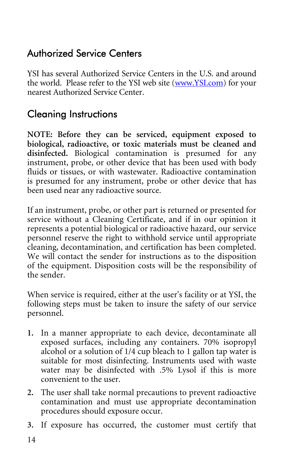### <span id="page-15-0"></span>Authorized Service Centers

YSI has several Authorized Service Centers in the U.S. and around the world. Please refer to the YSI web site (www.YSI.com) for your nearest Authorized Service Center.

## Cleaning Instructions

**NOTE: Before they can be serviced, equipment exposed to biological, radioactive, or toxic materials must be cleaned and disinfected.** Biological contamination is presumed for any instrument, probe, or other device that has been used with body fluids or tissues, or with wastewater. Radioactive contamination is presumed for any instrument, probe or other device that has been used near any radioactive source.

If an instrument, probe, or other part is returned or presented for service without a Cleaning Certificate, and if in our opinion it represents a potential biological or radioactive hazard, our service personnel reserve the right to withhold service until appropriate cleaning, decontamination, and certification has been completed. We will contact the sender for instructions as to the disposition of the equipment. Disposition costs will be the responsibility of the sender.

When service is required, either at the user's facility or at YSI, the following steps must be taken to insure the safety of our service personnel.

- **1.** In a manner appropriate to each device, decontaminate all exposed surfaces, including any containers. 70% isopropyl alcohol or a solution of 1/4 cup bleach to 1 gallon tap water is suitable for most disinfecting. Instruments used with waste water may be disinfected with .5% Lysol if this is more convenient to the user.
- **2.** The user shall take normal precautions to prevent radioactive contamination and must use appropriate decontamination procedures should exposure occur.
- **3.** If exposure has occurred, the customer must certify that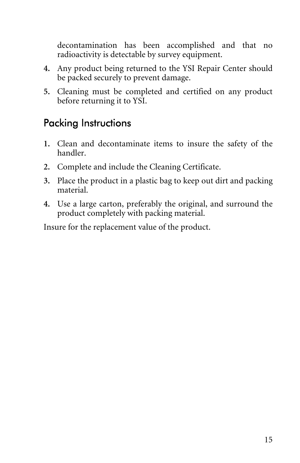<span id="page-16-0"></span>decontamination has been accomplished and that no radioactivity is detectable by survey equipment.

- **4.** Any product being returned to the YSI Repair Center should be packed securely to prevent damage.
- **5.** Cleaning must be completed and certified on any product before returning it to YSI.

### Packing Instructions

- **1.** Clean and decontaminate items to insure the safety of the handler.
- **2.** Complete and include the Cleaning Certificate.
- **3.** Place the product in a plastic bag to keep out dirt and packing material.
- **4.** Use a large carton, preferably the original, and surround the product completely with packing material.

Insure for the replacement value of the product.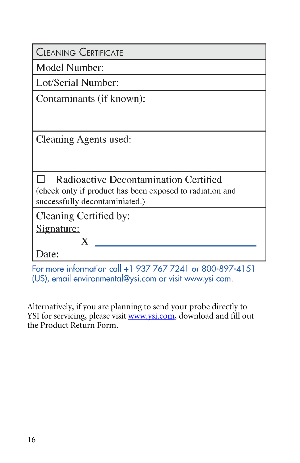| <b>CLEANING CERTIFICATE</b>                                                                                                         |
|-------------------------------------------------------------------------------------------------------------------------------------|
| Model Number:                                                                                                                       |
| Lot/Serial Number:                                                                                                                  |
| Contaminants (if known):                                                                                                            |
| Cleaning Agents used:                                                                                                               |
| Radioactive Decontamination Certified<br>(check only if product has been exposed to radiation and<br>successfully decontaminiated.) |
| Cleaning Certified by:<br><u>Signature:</u><br>X                                                                                    |
| Date:                                                                                                                               |

For more information call +1 937 767 7241 or 800-897-4151 (US), email environmental@ysi.com or visit www.ysi.com.

Alternatively, if you are planning to send your probe directly to YSI for servicing, please visit www.ysi.com, download and fill out the Product Return Form.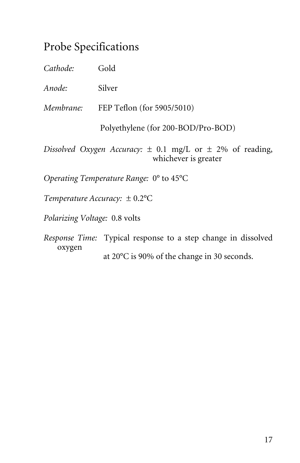## <span id="page-18-0"></span>Probe Specifications

| Cathode:  | Gold                                                                                      |
|-----------|-------------------------------------------------------------------------------------------|
| Anode:    | Silver                                                                                    |
| Membrane: | FEP Teflon (for 5905/5010)                                                                |
|           | Polyethylene (for 200-BOD/Pro-BOD)                                                        |
|           | Dissolved Oxygen Accuracy: $\pm$ 0.1 mg/L or $\pm$ 2% of reading,<br>whichever is greater |
|           | Operating Temperature Range: $0^{\circ}$ to 45 $^{\circ}$ C                               |

*Temperature Accuracy:* ± 0.2°C

*Polarizing Voltage:* 0.8 volts

*Response Time:* Typical response to a step change in dissolved oxygen

at 20°C is 90% of the change in 30 seconds.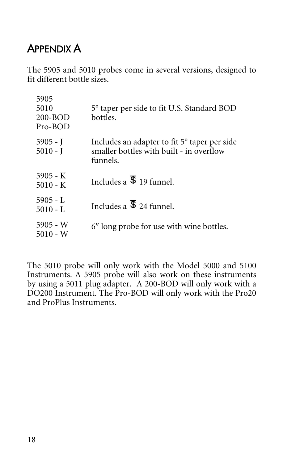# <span id="page-19-0"></span>APPENDIX A

The 5905 and 5010 probes come in several versions, designed to fit different bottle sizes.

| 5905<br>5010<br>$200 - BOD$<br>Pro-BOD | 5° taper per side to fit U.S. Standard BOD<br>bottles.                                                           |
|----------------------------------------|------------------------------------------------------------------------------------------------------------------|
| 5905 - J<br>$5010 - J$                 | Includes an adapter to fit 5 <sup>°</sup> taper per side<br>smaller bottles with built - in overflow<br>funnels. |
| $5905 - K$<br>$5010 - K$               | Includes a $\overline{\$}$ 19 funnel.                                                                            |
| $5905 - L$<br>$5010 - L$               | Includes a $\overline{\mathbb{S}}$ 24 funnel.                                                                    |
| 5905 - W<br>5010 - W                   | 6" long probe for use with wine bottles.                                                                         |

The 5010 probe will only work with the Model 5000 and 5100 Instruments. A 5905 probe will also work on these instruments by using a 5011 plug adapter. A 200-BOD will only work with a DO200 Instrument. The Pro-BOD will only work with the Pro20 and ProPlus Instruments.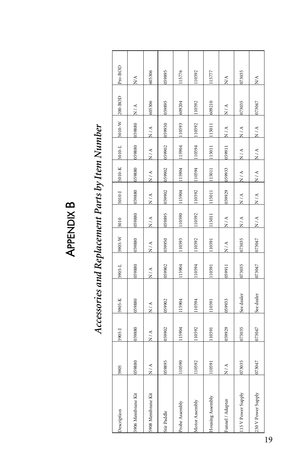| г<br>г |
|--------|
|        |
|        |
|        |
|        |
|        |

| シャクキー・クルート                         |
|------------------------------------|
|                                    |
| フィスランファ                            |
|                                    |
| キャク こうりつ しょう しょう こうきょうこう<br>:::::: |
|                                    |
|                                    |
|                                    |
|                                    |
| ;                                  |
|                                    |
|                                    |

| Description        | 5905            | 5905-J        | 5905-K          | 5905-L        | 5905-W        | 5010          | 5010-J                   | 5010-K        | 5010-L        | 5010-W        | 200-BOD       | Pro-BOD       |
|--------------------|-----------------|---------------|-----------------|---------------|---------------|---------------|--------------------------|---------------|---------------|---------------|---------------|---------------|
| 5906 Membrane Kit  | 059880          | 059880        | 059880          | 059880        | 08865         | 08865         | 088650                   | 059880        | 088650        | 059880        | $\frac{A}{Z}$ | N/A           |
| 5908 Membrane Kit  | $\frac{4}{\pi}$ | $\frac{A}{N}$ | $\frac{4}{\pi}$ | $\frac{4}{2}$ | $\frac{A}{N}$ | $\frac{A}{N}$ | $\frac{A}{N}$            | $\frac{1}{2}$ | $\frac{A}{N}$ | $\frac{1}{N}$ | 605306        | 605306        |
| Stir Paddle        | 159895          | 39902         | 39902           | 059902        | 159950        | 59895         | 159902                   | 059902        | 159902        | 059950        | 159895        | 159895        |
| Probe Assembly     | 110590          | 115904        | 115904          | 115904        | 10593         | 10590         | 15904                    | 115904        | 15904         | 110593        | 609204        | 115776        |
| Motor Assembly     | 110592          | 110592        | 110594          | 110594        | 10592         | 10592         | 10592                    | 10594         | 10594         | 110592        | 10592         | 110592        |
| Housing Assembly   | 110591          | 110591        | 110591          | 110591        | 10591         | 15011         | 115011                   | 115011        | 15011         | 115011        | 609210        | 115777        |
| Funnel / Adapter   | $\frac{A}{Z}$   | )59929        | )59933          | 059911        | $\frac{A}{N}$ | N/A           | 159929                   | 059933        | 11665         | $\frac{A}{N}$ | $\frac{A}{N}$ | $\frac{1}{2}$ |
| 115 V Power Supply | 073035          | 073035        | See dealer      | 073035        | 173035        | N/A           | $\frac{\lambda}{\Delta}$ | $\frac{1}{N}$ | $\frac{1}{N}$ | $\frac{1}{2}$ | 073035        | 073035        |
| 230 V Power Supply | 073047          | 073047        | See dealer      | 073047        | 173047        | $\frac{4}{2}$ | $\frac{1}{2}$            | $\frac{1}{2}$ | $\frac{1}{2}$ | $\frac{A}{N}$ | 073047        | ХŅ,           |